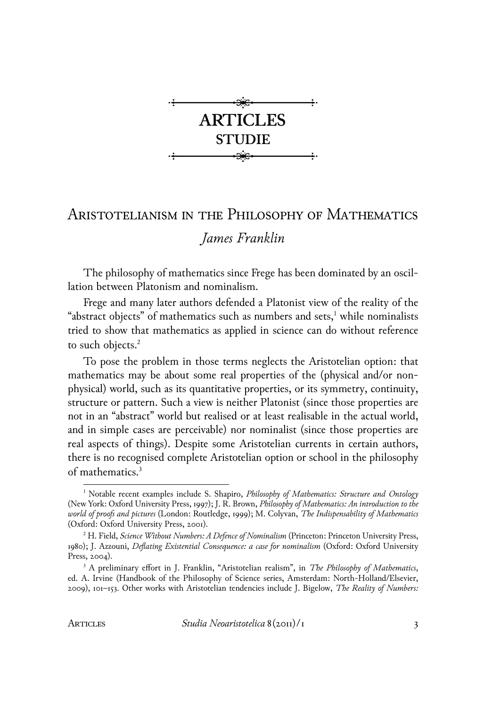

# Aristotelianism in the Philosophy of Mathematics *James Franklin*

The philosophy of mathematics since Frege has been dominated by an oscillation between Platonism and nominalism.

Frege and many later authors defended a Platonist view of the reality of the "abstract objects" of mathematics such as numbers and sets, $1$  while nominalists tried to show that mathematics as applied in science can do without reference to such objects.<sup>2</sup>

To pose the problem in those terms neglects the Aristotelian option: that mathematics may be about some real properties of the (physical and/or nonphysical) world, such as its quantitative properties, or its symmetry, continuity, structure or pattern. Such a view is neither Platonist (since those properties are not in an "abstract" world but realised or at least realisable in the actual world, and in simple cases are perceivable) nor nominalist (since those properties are real aspects of things). Despite some Aristotelian currents in certain authors, there is no recognised complete Aristotelian option or school in the philosophy of mathematics.<sup>3</sup>

<sup>1</sup>   Notable recent examples include S. Shapiro, *Philosophy of Mathematics: Structure and Ontology*  (New York: Oxford University Press, 1997); J. R. Brown, *Philosophy of Mathematics: An introduction to the world of proofs and pictures* (London: Routledge, 1999); M. Colyvan, *The Indispensability of Mathematics* (Oxford: Oxford University Press, 2001). 2  H. Field, *Science Without Numbers: A Defence of Nominalism* (Princeton: Princeton University Press,

<sup>1980);</sup> J. Azzouni, *Deflating Existential Consequence: a case for nominalism* (Oxford: Oxford University Press, 2004).

<sup>&</sup>lt;sup>3</sup> A preliminary effort in J. Franklin, "Aristotelian realism", in *The Philosophy of Mathematics*, ed. A. Irvine (Handbook of the Philosophy of Science series, Amsterdam: North-Holland/Elsevier, 2009), 101–153. Other works with Aristotelian tendencies include J. Bigelow, *The Reality of Numbers:*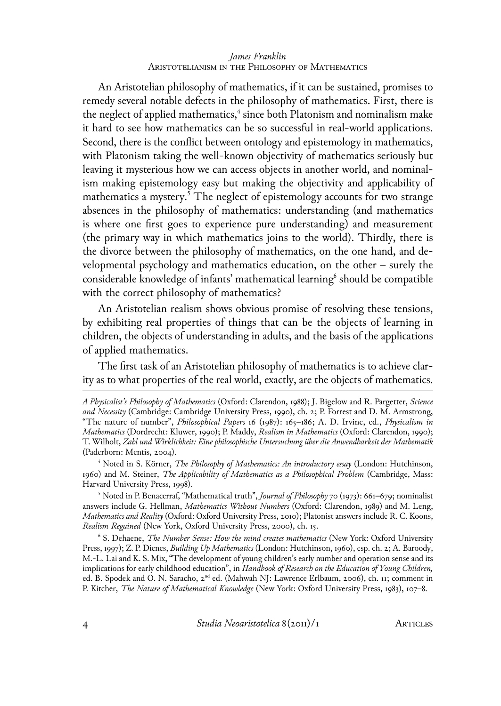An Aristotelian philosophy of mathematics, if it can be sustained, promises to remedy several notable defects in the philosophy of mathematics. First, there is the neglect of applied mathematics,<sup>4</sup> since both Platonism and nominalism make it hard to see how mathematics can be so successful in real-world applications. Second, there is the conflict between ontology and epistemology in mathematics, with Platonism taking the well-known objectivity of mathematics seriously but leaving it mysterious how we can access objects in another world, and nominalism making epistemology easy but making the objectivity and applicability of mathematics a mystery.<sup>5</sup> The neglect of epistemology accounts for two strange absences in the philosophy of mathematics: understanding (and mathematics is where one first goes to experience pure understanding) and measurement (the primary way in which mathematics joins to the world). Thirdly, there is the divorce between the philosophy of mathematics, on the one hand, and developmental psychology and mathematics education, on the other – surely the considerable knowledge of infants' mathematical learning<sup>6</sup> should be compatible with the correct philosophy of mathematics?

An Aristotelian realism shows obvious promise of resolving these tensions, by exhibiting real properties of things that can be the objects of learning in children, the objects of understanding in adults, and the basis of the applications of applied mathematics.

The first task of an Aristotelian philosophy of mathematics is to achieve clarity as to what properties of the real world, exactly, are the objects of mathematics.

<sup>5</sup>  Noted in P. Benacerraf, "Mathematical truth", *Journal of Philosophy* 70 (1973): 661–679; nominalist answers include G. Hellman, *Mathematics Without Numbers* (Oxford: Clarendon, 1989) and M. Leng, *Mathematics and Reality* (Oxford: Oxford University Press, 2010); Platonist answers include R. C. Koons, *Realism Regained* (New York, Oxford University Press, 2000), ch. 15.

<sup>6</sup>   S. Dehaene, *The Number Sense: How the mind creates mathematics* (New York: Oxford University Press, 1997); Z. P. Dienes, *Building Up Mathematics* (London: Hutchinson, 1960), esp. ch. 2; A. Baroody, M.-L. Lai and K. S. Mix, "The development of young children's early number and operation sense and its implications for early childhood education", in *Handbook of Research on the Education of Young Children,*  ed. B. Spodek and O. N. Saracho, 2<sup>nd</sup> ed. (Mahwah NJ: Lawrence Erlbaum, 2006), ch. 11; comment in P. Kitcher, *The Nature of Mathematical Knowledge* (New York: Oxford University Press, 1983), 107–8.

4 *Studia Neoaristotelica* 8(2011)/1 Articles

*A Physicalist's Philosophy of Mathematics* (Oxford: Clarendon, 1988); J. Bigelow and R. Pargetter, *Science and Necessity* (Cambridge: Cambridge University Press, 1990), ch. 2; P. Forrest and D. M. Armstrong, "The nature of number", *Philosophical Papers* 16 (1987): 165–186; A. D. Irvine, ed., *Physicalism in Mathematics* (Dordrecht: Kluwer, 1990); P. Maddy, *Realism in Mathematics* (Oxford: Clarendon, 1990); T. Wilholt, *Zahl und Wirklichkeit: Eine philosophische Untersuchung über die Anwendbarkeit der Mathematik*  (Paderborn: Mentis, 2004).

<sup>4</sup>   Noted in S. Körner, *The Philosophy of Mathematics: An introductory essay* (London: Hutchinson, 1960) and M. Steiner, *The Applicability of Mathematics as a Philosophical Problem* (Cambridge, Mass: Harvard University Press, 1998).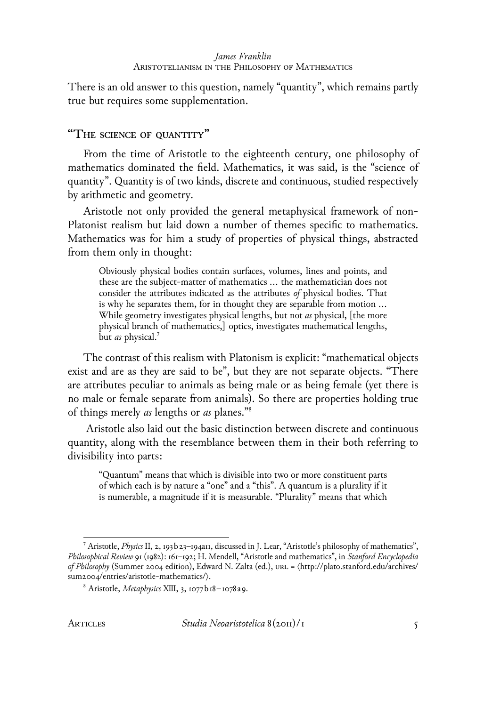There is an old answer to this question, namely "quantity", which remains partly true but requires some supplementation.

# **"THE SCIENCE OF QUANTITY"**

From the time of Aristotle to the eighteenth century, one philosophy of mathematics dominated the field. Mathematics, it was said, is the "science of quantity". Quantity is of two kinds, discrete and continuous, studied respectively by arithmetic and geometry.

Aristotle not only provided the general metaphysical framework of non-Platonist realism but laid down a number of themes specific to mathematics. Mathematics was for him a study of properties of physical things, abstracted from them only in thought:

Obviously physical bodies contain surfaces, volumes, lines and points, and these are the subject-matter of mathematics … the mathematician does not consider the attributes indicated as the attributes *of* physical bodies. That is why he separates them, for in thought they are separable from motion ... While geometry investigates physical lengths, but not *as* physical, [the more physical branch of mathematics,] optics, investigates mathematical lengths, but *as* physical.7

The contrast of this realism with Platonism is explicit: "mathematical objects exist and are as they are said to be", but they are not separate objects. "There are attributes peculiar to animals as being male or as being female (yet there is no male or female separate from animals). So there are properties holding true of things merely *as* lengths or *as* planes."8

 Aristotle also laid out the basic distinction between discrete and continuous quantity, along with the resemblance between them in their both referring to divisibility into parts:

"Quantum" means that which is divisible into two or more constituent parts of which each is by nature a "one" and a "this". A quantum is a plurality if it is numerable, a magnitude if it is measurable. "Plurality" means that which

<sup>7</sup>  Aristotle, *Physics* II, 2, 193b23–194a11, discussed in J. Lear, "Aristotle's philosophy of mathematics", *Philosophical Review* 91 (1982): 161–192; H. Mendell, "Aristotle and mathematics", in *Stanford Encyclopedia of Philosophy* (Summer 2004 edition), Edward N. Zalta (ed.), URL =  $\frac{\hbar^2}{\hbar^2}$  /plato.stanford.edu/archives/ sum2004/entries/aristotle-mathematics/〉.

<sup>8</sup>  Aristotle, *Metaphysics* XIII, 3, 1077b18–1078a9.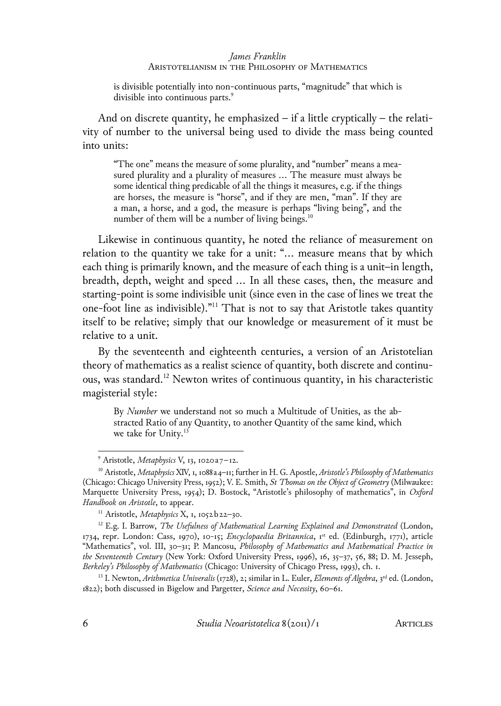is divisible potentially into non-continuous parts, "magnitude" that which is divisible into continuous parts.<sup>9</sup>

And on discrete quantity, he emphasized  $-$  if a little cryptically  $-$  the relativity of number to the universal being used to divide the mass being counted into units:

"The one" means the measure of some plurality, and "number" means a measured plurality and a plurality of measures … The measure must always be some identical thing predicable of all the things it measures, e.g. if the things are horses, the measure is "horse", and if they are men, "man". If they are a man, a horse, and a god, the measure is perhaps "living being", and the number of them will be a number of living beings.<sup>10</sup>

Likewise in continuous quantity, he noted the reliance of measurement on relation to the quantity we take for a unit: "… measure means that by which each thing is primarily known, and the measure of each thing is a unit–in length, breadth, depth, weight and speed … In all these cases, then, the measure and starting-point is some indivisible unit (since even in the case of lines we treat the one-foot line as indivisible)."11 That is not to say that Aristotle takes quantity itself to be relative; simply that our knowledge or measurement of it must be relative to a unit.

By the seventeenth and eighteenth centuries, a version of an Aristotelian theory of mathematics as a realist science of quantity, both discrete and continuous, was standard.12 Newton writes of continuous quantity, in his characteristic magisterial style:

By *Number* we understand not so much a Multitude of Unities, as the abstracted Ratio of any Quantity, to another Quantity of the same kind, which we take for Unity.<sup>13</sup>

<sup>9</sup>  Aristotle, *Metaphysics* V, 13, 1020a7–12.

<sup>10</sup>  Aristotle, *Metaphysics* Ⅺ V, 1, 1088a4–11; further in H. G. Apostle, *Aristotle's Philosophy of Mathematics* (Chicago: Chicago University Press, 1952); V. E. Smith, *St Thomas on the Object of Geometry* (Milwaukee: Marquette University Press, 1954); D. Bostock, "Aristotle's philosophy of mathematics", in *Oxford Handbook on Aristotle*, to appear.

<sup>11</sup>  Aristotle, *Metaphysics* X, 1, 1052b22–30.

<sup>&</sup>lt;sup>12</sup> E.g. I. Barrow, *The Usefulness of Mathematical Learning Explained and Demonstrated* (London, 1734, repr. London: Cass, 1970), 10-15; *Encyclopaedia Britannica*, 1st ed. (Edinburgh, 1771), article "Mathematics", vol. III, 30–31; P. Mancosu, *Philosophy of Mathematics and Mathematical Practice in the Seventeenth Century* (New York: Oxford University Press, 1996), 16, 35–37, 56, 88; D. M. Jesseph, *Berkeley's Philosophy of Mathematics* (Chicago: University of Chicago Press, 1993), ch. 1.

<sup>&</sup>lt;sup>13</sup> I. Newton, Arithmetica Univeralis (1728), 2; similar in L. Euler, *Elements of Algebra*, 3<sup>rd</sup> ed. (London, 1822); both discussed in Bigelow and Pargetter, *Science and Necessity*, 60–61.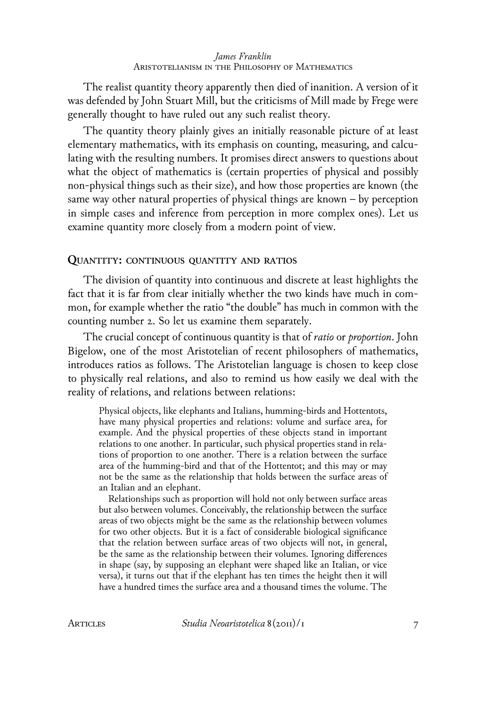The realist quantity theory apparently then died of inanition. A version of it was defended by John Stuart Mill, but the criticisms of Mill made by Frege were generally thought to have ruled out any such realist theory.

The quantity theory plainly gives an initially reasonable picture of at least elementary mathematics, with its emphasis on counting, measuring, and calculating with the resulting numbers. It promises direct answers to questions about what the object of mathematics is (certain properties of physical and possibly non-physical things such as their size), and how those properties are known (the same way other natural properties of physical things are known  $-$  by perception in simple cases and inference from perception in more complex ones). Let us examine quantity more closely from a modern point of view.

# **QUANTITY: CONTINUOUS QUANTITY AND RATIOS**

The division of quantity into continuous and discrete at least highlights the fact that it is far from clear initially whether the two kinds have much in common, for example whether the ratio "the double" has much in common with the counting number 2. So let us examine them separately.

The crucial concept of continuous quantity is that of *ratio* or *proportion*. John Bigelow, one of the most Aristotelian of recent philosophers of mathematics, introduces ratios as follows. The Aristotelian language is chosen to keep close to physically real relations, and also to remind us how easily we deal with the reality of relations, and relations between relations:

Physical objects, like elephants and Italians, humming-birds and Hottentots, have many physical properties and relations: volume and surface area, for example. And the physical properties of these objects stand in important relations to one another. In particular, such physical properties stand in relations of proportion to one another. There is a relation between the surface area of the humming-bird and that of the Hottentot; and this may or may not be the same as the relationship that holds between the surface areas of an Italian and an elephant.

Relationships such as proportion will hold not only between surface areas but also between volumes. Conceivably, the relationship between the surface areas of two objects might be the same as the relationship between volumes for two other objects. But it is a fact of considerable biological significance that the relation between surface areas of two objects will not, in general, be the same as the relationship between their volumes. Ignoring differences in shape (say, by supposing an elephant were shaped like an Italian, or vice versa), it turns out that if the elephant has ten times the height then it will have a hundred times the surface area and a thousand times the volume. The

Articles *Studia Neoaristotelica* 8(2011)/1 7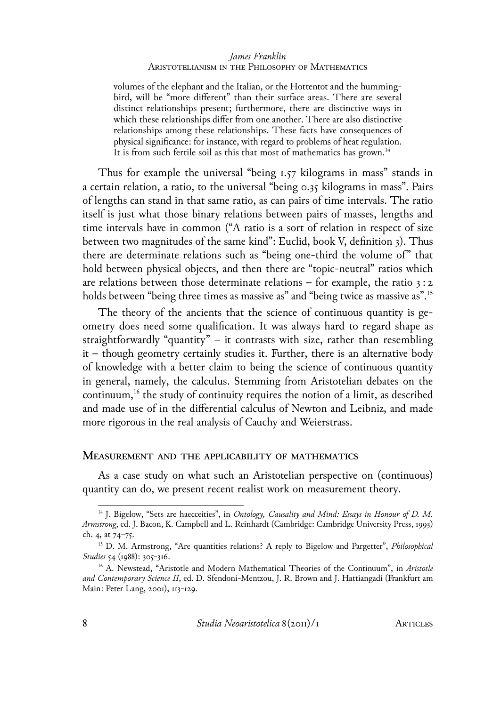volumes of the elephant and the Italian, or the Hottentot and the hummingbird, will be "more different" than their surface areas. There are several distinct relationships present; furthermore, there are distinctive ways in which these relationships differ from one another. There are also distinctive relationships among these relationships. These facts have consequences of physical significance: for instance, with regard to problems of heat regulation. It is from such fertile soil as this that most of mathematics has grown.<sup>14</sup>

Thus for example the universal "being 1.57 kilograms in mass" stands in a certain relation, a ratio, to the universal "being 0.35 kilograms in mass". Pairs of lengths can stand in that same ratio, as can pairs of time intervals. The ratio itself is just what those binary relations between pairs of masses, lengths and time intervals have in common ("A ratio is a sort of relation in respect of size between two magnitudes of the same kind": Euclid, book V, definition 3). Thus there are determinate relations such as "being one-third the volume of" that hold between physical objects, and then there are "topic-neutral" ratios which are relations between those determinate relations – for example, the ratio  $3:2$ holds between "being three times as massive as" and "being twice as massive as".<sup>15</sup>

The theory of the ancients that the science of continuous quantity is geometry does need some qualification. It was always hard to regard shape as straightforwardly "quantity" – it contrasts with size, rather than resembling it – though geometry certainly studies it. Further, there is an alternative body of knowledge with a better claim to being the science of continuous quantity in general, namely, the calculus. Stemming from Aristotelian debates on the continuum, 16 the study of continuity requires the notion of a limit, as described and made use of in the differential calculus of Newton and Leibniz, and made more rigorous in the real analysis of Cauchy and Weierstrass.

# **MEASUREMENT AND THE APPLICABILITY OF MATHEMATICS**

As a case study on what such an Aristotelian perspective on (continuous) quantity can do, we present recent realist work on measurement theory.

<sup>&</sup>lt;sup>14</sup> J. Bigelow, "Sets are haecceities", in *Ontology, Causality and Mind: Essays in Honour of D. M. Armstrong*, ed. J. Bacon, K. Campbell and L. Reinhardt (Cambridge: Cambridge University Press, 1993) ch. 4, at 74–75.

<sup>15</sup>   D. M. Armstrong, "Are quantities relations? A reply to Bigelow and Pargetter", *Philosophical Studies* 54 (1988): 305-316.

<sup>&</sup>lt;sup>16</sup> A. Newstead, "Aristotle and Modern Mathematical Theories of the Continuum", in *Aristotle and Contemporary Science II*, ed. D. Sfendoni-Mentzou, J. R. Brown and J. Hattiangadi (Frankfurt am Main: Peter Lang, 2001), 113-129.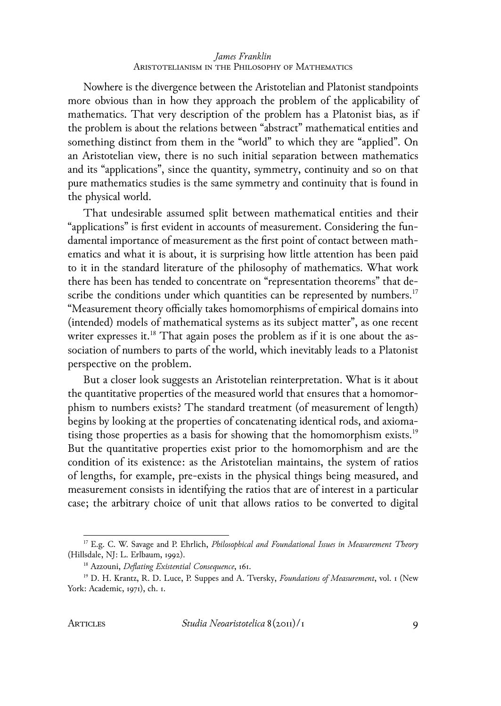Nowhere is the divergence between the Aristotelian and Platonist standpoints more obvious than in how they approach the problem of the applicability of mathematics. That very description of the problem has a Platonist bias, as if the problem is about the relations between "abstract" mathematical entities and something distinct from them in the "world" to which they are "applied". On an Aristotelian view, there is no such initial separation between mathematics and its "applications", since the quantity, symmetry, continuity and so on that pure mathematics studies is the same symmetry and continuity that is found in the physical world.

That undesirable assumed split between mathematical entities and their "applications" is first evident in accounts of measurement. Considering the fundamental importance of measurement as the first point of contact between mathematics and what it is about, it is surprising how little attention has been paid to it in the standard literature of the philosophy of mathematics. What work there has been has tended to concentrate on "representation theorems" that describe the conditions under which quantities can be represented by numbers.<sup>17</sup> "Measurement theory officially takes homomorphisms of empirical domains into (intended) models of mathematical systems as its subject matter", as one recent writer expresses it.<sup>18</sup> That again poses the problem as if it is one about the association of numbers to parts of the world, which inevitably leads to a Platonist perspective on the problem.

But a closer look suggests an Aristotelian reinterpretation. What is it about the quantitative properties of the measured world that ensures that a homomorphism to numbers exists? The standard treatment (of measurement of length) begins by looking at the properties of concatenating identical rods, and axiomatising those properties as a basis for showing that the homomorphism exists.<sup>19</sup> But the quantitative properties exist prior to the homomorphism and are the condition of its existence: as the Aristotelian maintains, the system of ratios of lengths, for example, pre-exists in the physical things being measured, and measurement consists in identifying the ratios that are of interest in a particular case; the arbitrary choice of unit that allows ratios to be converted to digital

Articles *Studia Neoaristotelica* 8(2011)/1 9

<sup>17</sup>   E.g. C. W. Savage and P. Ehrlich, *Philosophical and Foundational Issues in Measurement Theory* (Hillsdale, NJ: L. Erlbaum, 1992).

<sup>&</sup>lt;sup>18</sup> Azzouni, *Deflating Existential Consequence*, 161.

<sup>&</sup>lt;sup>19</sup> D. H. Krantz, R. D. Luce, P. Suppes and A. Tversky, *Foundations of Measurement*, vol. 1 (New York: Academic, 1971), ch. 1.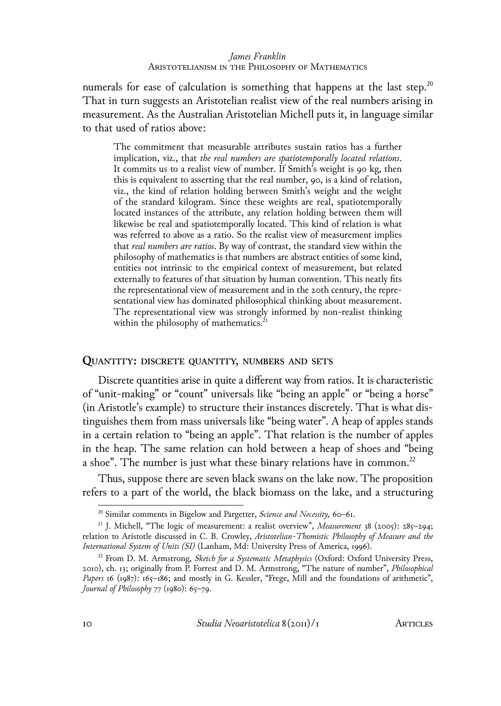numerals for ease of calculation is something that happens at the last step.<sup>20</sup> That in turn suggests an Aristotelian realist view of the real numbers arising in measurement. As the Australian Aristotelian Michell puts it, in language similar to that used of ratios above:

The commitment that measurable attributes sustain ratios has a further implication, viz., that *the real numbers are spatiotemporally located relations*. It commits us to a realist view of number. If Smith's weight is 90 kg, then this is equivalent to asserting that the real number, 90, is a kind of relation, viz., the kind of relation holding between Smith's weight and the weight of the standard kilogram. Since these weights are real, spatiotemporally located instances of the attribute, any relation holding between them will likewise be real and spatiotemporally located. This kind of relation is what was referred to above as a ratio. So the realist view of measurement implies that *real numbers are ratios*. By way of contrast, the standard view within the philosophy of mathematics is that numbers are abstract entities of some kind, entities not intrinsic to the empirical context of measurement, but related externally to features of that situation by human convention. This neatly fits the representational view of measurement and in the 20th century, the representational view has dominated philosophical thinking about measurement. The representational view was strongly informed by non-realist thinking within the philosophy of mathematics. $^{21}$ 

# **QUANTITY: DISCRETE QUANTITY**, **NUMBERS AND SETS**

Discrete quantities arise in quite a different way from ratios. It is characteristic of "unit-making" or "count" universals like "being an apple" or "being a horse" (in Aristotle's example) to structure their instances discretely. That is what distinguishes them from mass universals like "being water". A heap of apples stands in a certain relation to "being an apple". That relation is the number of apples in the heap. The same relation can hold between a heap of shoes and "being a shoe". The number is just what these binary relations have in common.<sup>22</sup>

Thus, suppose there are seven black swans on the lake now. The proposition refers to a part of the world, the black biomass on the lake, and a structuring

10 *Studia Neoaristotelica* 8(2011)/1 Articles

<sup>&</sup>lt;sup>20</sup> Similar comments in Bigelow and Pargetter, *Science and Necessity*, 60-61.

<sup>21</sup>   J. Michell, "The logic of measurement: a realist overview", *Measurement* 38 (2005): 285–294; relation to Aristotle discussed in C. B. Crowley, *Aristotelian-Thomistic Philosophy of Measure and the International System of Units (SI)* (Lanham, Md: University Press of America, 1996).

<sup>22</sup>   From D. M. Armstrong, *Sketch for a Systematic Metaphysics* (Oxford: Oxford University Press, 2010), ch. 13; originally from P. Forrest and D. M. Armstrong, "The nature of number", *Philosophical Papers* 16 (1987): 165–186; and mostly in G. Kessler, "Frege, Mill and the foundations of arithmetic", *Journal of Philosophy* 77 (1980): 65–79.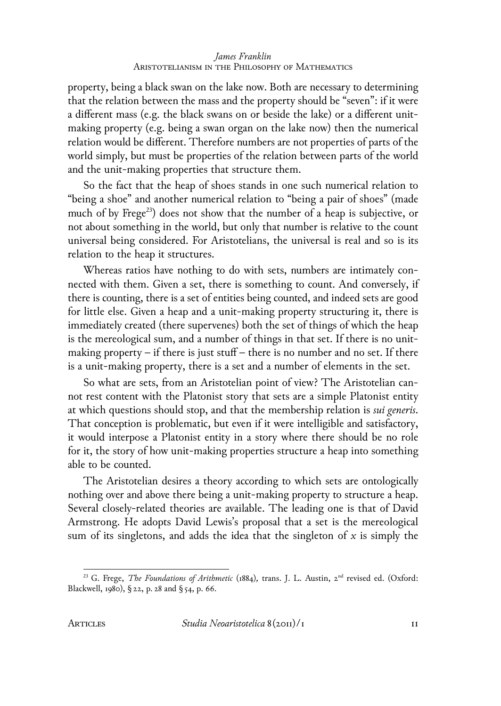property, being a black swan on the lake now. Both are necessary to determining that the relation between the mass and the property should be "seven": if it were a different mass (e.g. the black swans on or beside the lake) or a different unitmaking property (e.g. being a swan organ on the lake now) then the numerical relation would be different. Therefore numbers are not properties of parts of the world simply, but must be properties of the relation between parts of the world and the unit-making properties that structure them.

So the fact that the heap of shoes stands in one such numerical relation to "being a shoe" and another numerical relation to "being a pair of shoes" (made much of by Frege<sup>23</sup>) does not show that the number of a heap is subjective, or not about something in the world, but only that number is relative to the count universal being considered. For Aristotelians, the universal is real and so is its relation to the heap it structures.

Whereas ratios have nothing to do with sets, numbers are intimately connected with them. Given a set, there is something to count. And conversely, if there is counting, there is a set of entities being counted, and indeed sets are good for little else. Given a heap and a unit-making property structuring it, there is immediately created (there supervenes) both the set of things of which the heap is the mereological sum, and a number of things in that set. If there is no unitmaking property – if there is just stuff – there is no number and no set. If there is a unit-making property, there is a set and a number of elements in the set.

So what are sets, from an Aristotelian point of view? The Aristotelian cannot rest content with the Platonist story that sets are a simple Platonist entity at which questions should stop, and that the membership relation is *sui generis*. That conception is problematic, but even if it were intelligible and satisfactory, it would interpose a Platonist entity in a story where there should be no role for it, the story of how unit-making properties structure a heap into something able to be counted.

The Aristotelian desires a theory according to which sets are ontologically nothing over and above there being a unit-making property to structure a heap. Several closely-related theories are available. The leading one is that of David Armstrong. He adopts David Lewis's proposal that a set is the mereological sum of its singletons, and adds the idea that the singleton of *x* is simply the

<sup>&</sup>lt;sup>23</sup> G. Frege, *The Foundations of Arithmetic* (1884), trans. J. L. Austin, 2<sup>nd</sup> revised ed. (Oxford: Blackwell, 1980), § 22, p. 28 and § 54, p. 66.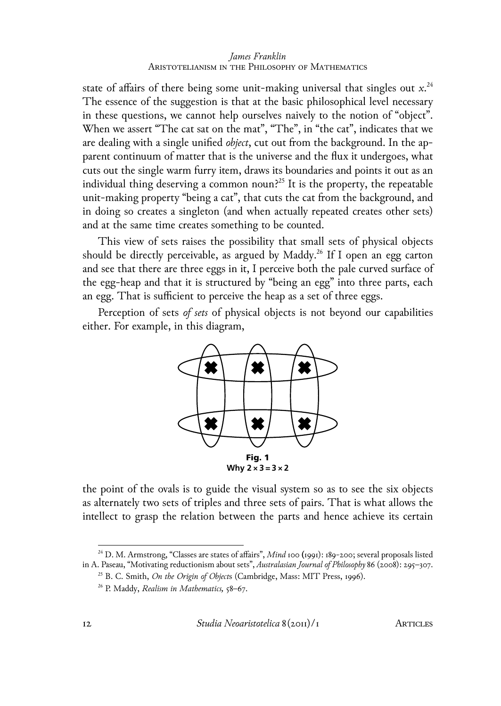state of affairs of there being some unit-making universal that singles out  $x^{24}$ The essence of the suggestion is that at the basic philosophical level necessary in these questions, we cannot help ourselves naively to the notion of "object". When we assert "The cat sat on the mat", "The", in "the cat", indicates that we are dealing with a single unified *object*, cut out from the background. In the apparent continuum of matter that is the universe and the flux it undergoes, what cuts out the single warm furry item, draws its boundaries and points it out as an individual thing deserving a common noun?<sup>25</sup> It is the property, the repeatable unit-making property "being a cat", that cuts the cat from the background, and in doing so creates a singleton (and when actually repeated creates other sets) and at the same time creates something to be counted.

This view of sets raises the possibility that small sets of physical objects should be directly perceivable, as argued by Maddy. 26 If I open an egg carton and see that there are three eggs in it, I perceive both the pale curved surface of the egg-heap and that it is structured by "being an egg" into three parts, each an egg. That is sufficient to perceive the heap as a set of three eggs.

Perception of sets *of sets* of physical objects is not beyond our capabilities either. For example, in this diagram,



the point of the ovals is to guide the visual system so as to see the six objects as alternately two sets of triples and three sets of pairs. That is what allows the intellect to grasp the relation between the parts and hence achieve its certain

12 *Studia Neoaristotelica* 8(2011)/1 Articles

<sup>&</sup>lt;sup>24</sup> D. M. Armstrong, "Classes are states of affairs", *Mind* 100 (1991): 189-200; several proposals listed in A. Paseau, "Motivating reductionism about sets", *Australasian Journal of Philosophy* 86 (2008): 295–307.

<sup>25</sup>   B. C. Smith, *On the Origin of Object*s (Cambridge, Mass: MIT Press, 1996).

<sup>26</sup>   P. Maddy, *Realism in Mathematics,* 58–67.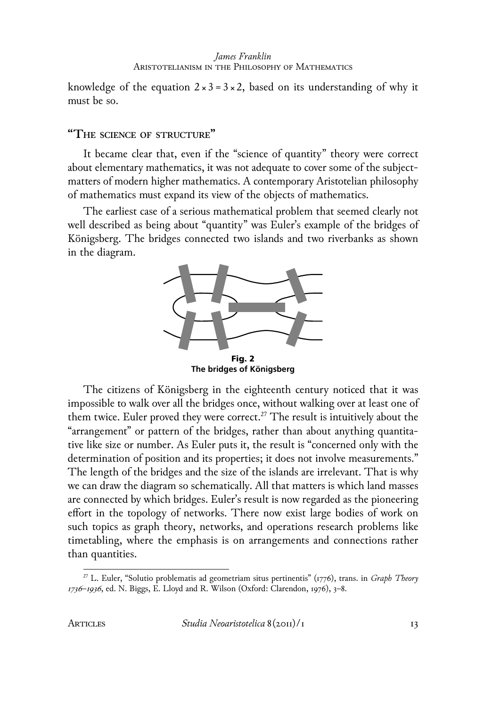knowledge of the equation  $2 \times 3 = 3 \times 2$ , based on its understanding of why it must be so.

# **"THE SCIENCE OF STRUCTURE"**

It became clear that, even if the "science of quantity" theory were correct about elementary mathematics, it was not adequate to cover some of the subjectmatters of modern higher mathematics. A contemporary Aristotelian philosophy of mathematics must expand its view of the objects of mathematics.

The earliest case of a serious mathematical problem that seemed clearly not well described as being about "quantity" was Euler's example of the bridges of Königsberg. The bridges connected two islands and two riverbanks as shown in the diagram.



The citizens of Königsberg in the eighteenth century noticed that it was impossible to walk over all the bridges once, without walking over at least one of them twice. Euler proved they were correct.<sup>27</sup> The result is intuitively about the "arrangement" or pattern of the bridges, rather than about anything quantitative like size or number. As Euler puts it, the result is "concerned only with the determination of position and its properties; it does not involve measurements." The length of the bridges and the size of the islands are irrelevant. That is why we can draw the diagram so schematically. All that matters is which land masses are connected by which bridges. Euler's result is now regarded as the pioneering effort in the topology of networks. There now exist large bodies of work on such topics as graph theory, networks, and operations research problems like timetabling, where the emphasis is on arrangements and connections rather than quantities.

<sup>27</sup>   L. Euler, "Solutio problematis ad geometriam situs pertinentis" (1776), trans. in *Graph Theory 1736–1936*, ed. N. Biggs, E. Lloyd and R. Wilson (Oxford: Clarendon, 1976), 3–8.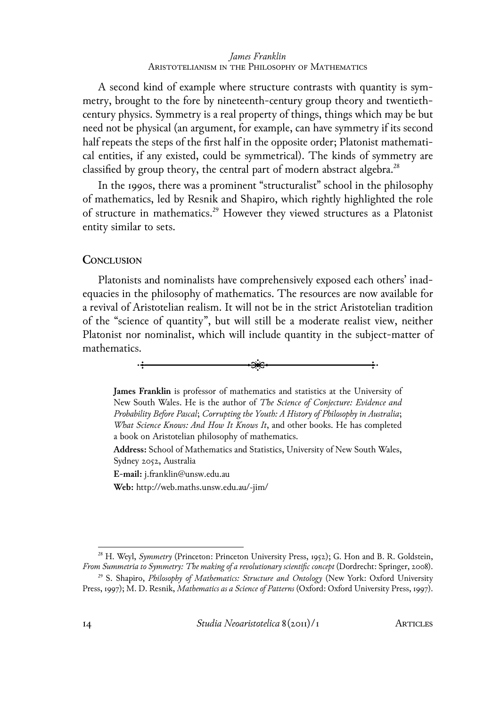A second kind of example where structure contrasts with quantity is symmetry, brought to the fore by nineteenth-century group theory and twentiethcentury physics. Symmetry is a real property of things, things which may be but need not be physical (an argument, for example, can have symmetry if its second half repeats the steps of the first half in the opposite order; Platonist mathematical entities, if any existed, could be symmetrical). The kinds of symmetry are classified by group theory, the central part of modern abstract algebra.<sup>28</sup>

In the 1990s, there was a prominent "structuralist" school in the philosophy of mathematics, led by Resnik and Shapiro, which rightly highlighted the role of structure in mathematics.<sup>29</sup> However they viewed structures as a Platonist entity similar to sets.

# **CONCLUSION**

Platonists and nominalists have comprehensively exposed each others' inadequacies in the philosophy of mathematics. The resources are now available for a revival of Aristotelian realism. It will not be in the strict Aristotelian tradition of the "science of quantity", but will still be a moderate realist view, neither Platonist nor nominalist, which will include quantity in the subject-matter of mathematics.



**James Franklin** is professor of mathematics and statistics at the University of New South Wales. He is the author of *The Science of Conjecture: Evidence and Probability Before Pascal*; *Corrupting the Youth: A History of Philosophy in Australia*; *What Science Knows: And How It Knows It*, and other books. He has completed a book on Aristotelian philosophy of mathematics.

**Address:** School of Mathematics and Statistics, University of New South Wales, Sydney 2052, Australia

E-mail: j.franklin@unsw.edu.au

**Web:** http://web.maths.unsw.edu.au/~jim/

<sup>28</sup>  H. Weyl, *Symmetry* (Princeton: Princeton University Press, 1952); G. Hon and B. R. Goldstein, From Summetria to Symmetry: The making of a revolutionary scientific concept (Dordrecht: Springer, 2008).

<sup>&</sup>lt;sup>29</sup> S. Shapiro, *Philosophy of Mathematics: Structure and Ontology* (New York: Oxford University Press, 1997); M. D. Resnik, *Mathematics as a Science of Patterns* (Oxford: Oxford University Press, 1997).